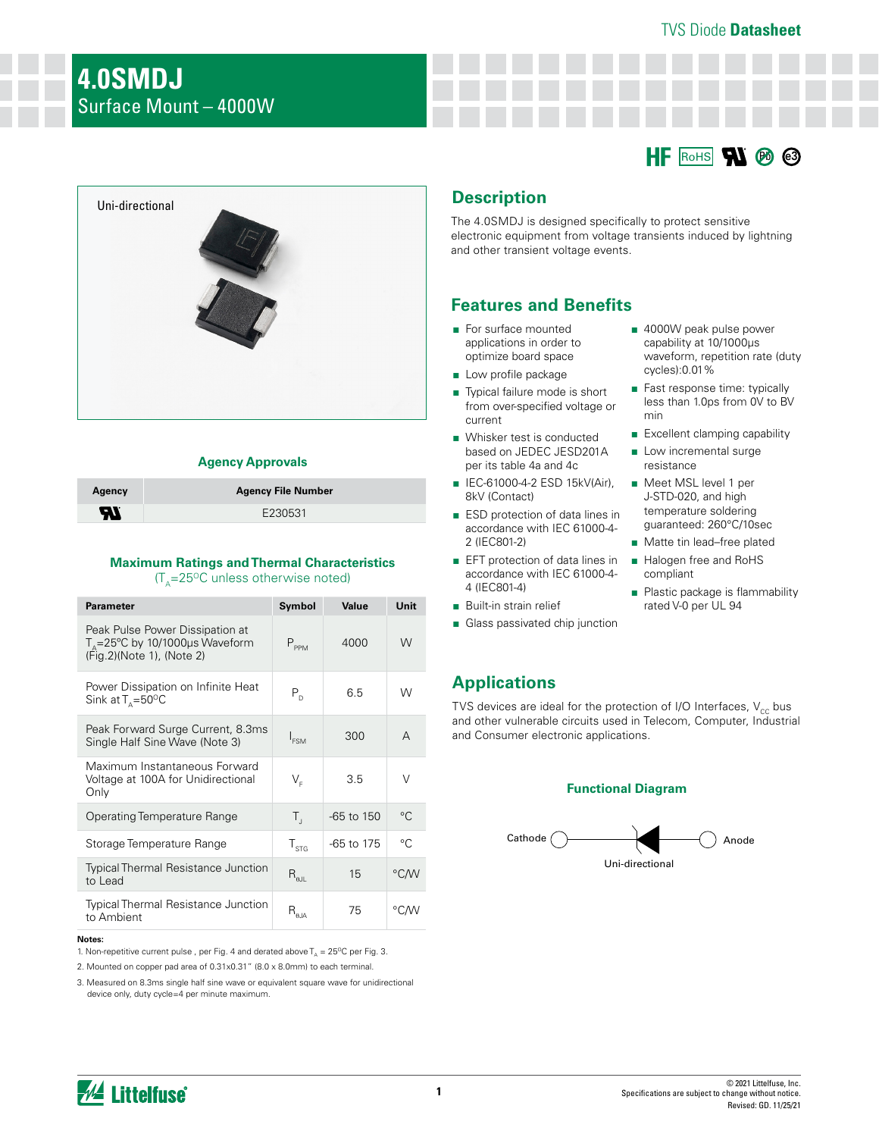### TVS Diode **Datasheet**





### **Agency Approvals**

| Agency                     | <b>Agency File Number</b> |
|----------------------------|---------------------------|
| $\boldsymbol{\mathcal{H}}$ | E230531                   |

#### **Maximum Ratings and Thermal Characteristics**   $(T<sub>A</sub>=25<sup>o</sup>C$  unless otherwise noted)

| <b>Parameter</b>                                                                                          | Symbol                                        | Value      | Unit        |
|-----------------------------------------------------------------------------------------------------------|-----------------------------------------------|------------|-------------|
| Peak Pulse Power Dissipation at<br>$T_{\rm s}$ =25°C by 10/1000µs Waveform<br>(Fig. 2) (Note 1), (Note 2) | $P_{PPM}$                                     | 4000       | W           |
| Power Dissipation on Infinite Heat<br>Sink at $T_{\text{A}} = 50^{\circ}$ C                               | $P_{D}$                                       | 6.5        | W           |
| Peak Forward Surge Current, 8.3ms<br>Single Half Sine Wave (Note 3)                                       | $I_{FSM}$                                     | 300        | А           |
| Maximum Instantaneous Forward<br>Voltage at 100A for Unidirectional<br>Only                               | $\mathsf{V}_{\scriptscriptstyle{\sf E}}$      | 3.5        | V           |
| Operating Temperature Range                                                                               | $T_{\rm d}$                                   | -65 to 150 | $^{\circ}C$ |
| Storage Temperature Range                                                                                 | $T_{\rm STG}$                                 | -65 to 175 | °C          |
| <b>Typical Thermal Resistance Junction</b><br>to Lead                                                     | $R_{\scriptscriptstyle{\theta\text{JL}}}$     | 15         | °C∕W        |
| <b>Typical Thermal Resistance Junction</b><br>to Ambient                                                  | $\mathsf{R}_{\scriptscriptstyle\mathsf{6JA}}$ | 75         | °C∕W        |

#### **Notes:**

1. Non-repetitive current pulse, per Fig. 4 and derated above  $T_A = 25^{\circ}C$  per Fig. 3.

2. Mounted on copper pad area of 0.31x0.31" (8.0 x 8.0mm) to each terminal.

3. Measured on 8.3ms single half sine wave or equivalent square wave for unidirectional device only, duty cycle=4 per minute maximum.

# **Description**

The 4.0SMDJ is designed specifically to protect sensitive electronic equipment from voltage transients induced by lightning and other transient voltage events.

## **Features and Benefits**

- For surface mounted applications in order to optimize board space
- Low profile package
- Typical failure mode is short from over-specified voltage or current
- Whisker test is conducted based on JEDEC JESD201A per its table 4a and 4c
- IEC-61000-4-2 ESD 15kV(Air), 8kV (Contact)
- ESD protection of data lines in accordance with IEC 61000-4- 2 (IEC801-2)
- EFT protection of data lines in accordance with IEC 61000-4- 4 (IEC801-4)
- Built-in strain relief
- Glass passivated chip junction
- 4000W peak pulse power capability at 10/1000μs waveform, repetition rate (duty cycles):0.01%
- Fast response time: typically less than 1.0ps from 0V to BV min
- Excellent clamping capability
- Low incremental surge resistance
- Meet MSL level 1 per J-STD-020, and high temperature soldering guaranteed: 260°C/10sec
- Matte tin lead–free plated
- Halogen free and RoHS compliant
- Plastic package is flammability rated V-0 per UL 94

## **Applications**

TVS devices are ideal for the protection of I/O Interfaces,  $V_{cc}$  bus and other vulnerable circuits used in Telecom, Computer, Industrial and Consumer electronic applications.

### **Functional Diagram**

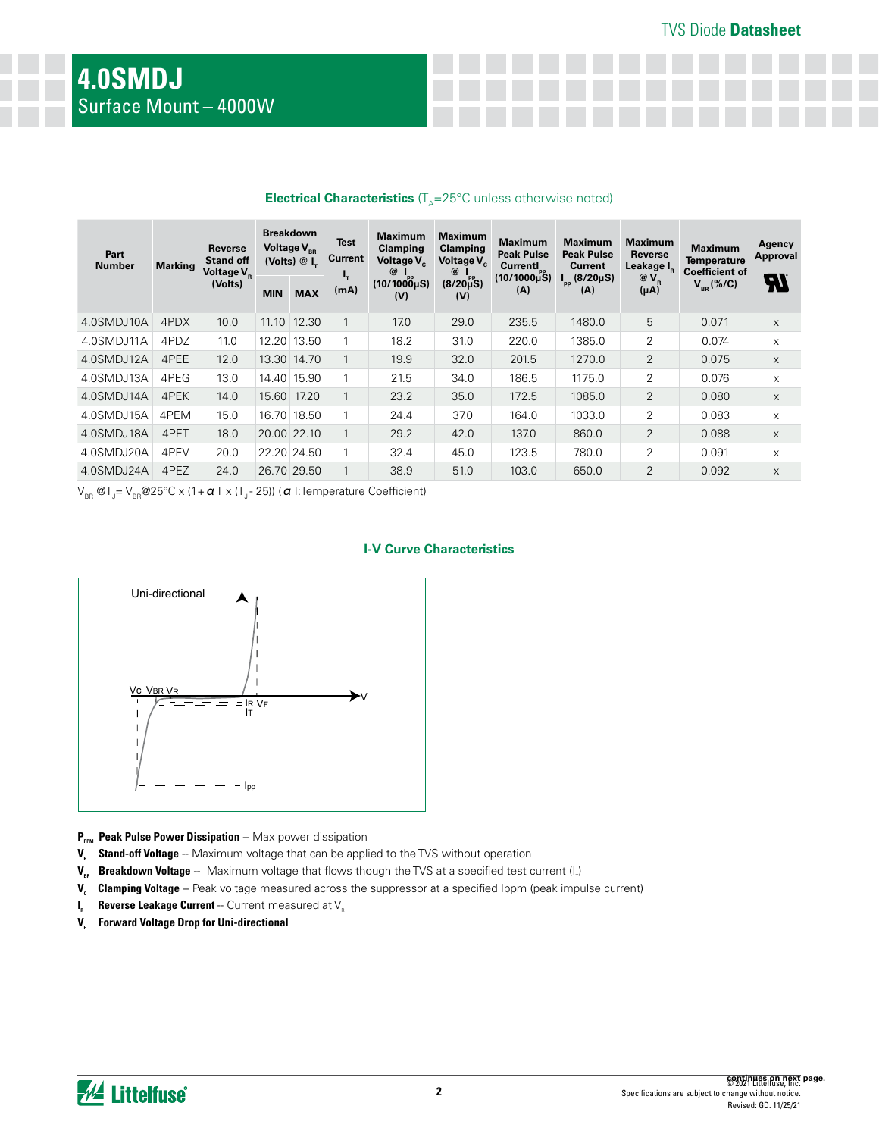| $\blacksquare$        |                |                                                    |                                                             |             |                        |                                                                               |                                                                               |                                                               |                                                       |                                                     |                                                               |                           |
|-----------------------|----------------|----------------------------------------------------|-------------------------------------------------------------|-------------|------------------------|-------------------------------------------------------------------------------|-------------------------------------------------------------------------------|---------------------------------------------------------------|-------------------------------------------------------|-----------------------------------------------------|---------------------------------------------------------------|---------------------------|
| Part<br><b>Number</b> | <b>Marking</b> | Reverse<br><b>Stand off</b><br>Voltage $V_{\rm R}$ | <b>Breakdown</b><br>Voltage $V_{\text{eq}}$<br>(Volts) $@L$ |             | <b>Test</b><br>Current | <b>Maximum</b><br><b>Clamping</b><br>Voltage V <sub>c</sub><br>$\circledcirc$ | <b>Maximum</b><br><b>Clamping</b><br>Voltage V <sub>c</sub><br>$^{\circledR}$ | <b>Maximum</b><br><b>Peak Pulse</b><br>Currentl <sub>pp</sub> | <b>Maximum</b><br><b>Peak Pulse</b><br><b>Current</b> | <b>Maximum</b><br>Reverse<br>Leakage I <sub>R</sub> | <b>Maximum</b><br><b>Temperature</b><br><b>Coefficient of</b> | Agency<br><b>Approval</b> |
|                       |                | (Volts)                                            | <b>MIN</b>                                                  | <b>MAX</b>  | ъ,<br>(mA)             | $(10/1000)$ µS)<br>(V)                                                        | $(8/20\mu S)$<br>(V)                                                          | $(10/1000\mu S)$<br>(A)                                       | $I_{\text{pp}}$ (8/20µS)<br>(A)                       | $@V_{R}$<br>$(\mu A)$                               | $V_{BR}$ (%/C)                                                | 97                        |
| 4.0SMDJ10A            | 4PDX           | 10.0                                               | 11.10                                                       | 12.30       | 1                      | 17.0                                                                          | 29.0                                                                          | 235.5                                                         | 1480.0                                                | 5                                                   | 0.071                                                         | $\times$                  |
| 4.0SMDJ11A            | 4PDZ           | 11.0                                               |                                                             | 12.20 13.50 | 1                      | 18.2                                                                          | 31.0                                                                          | 220.0                                                         | 1385.0                                                | 2                                                   | 0.074                                                         | X                         |
| 4.0SMDJ12A            | 4PEE           | 12.0                                               |                                                             | 13.30 14.70 |                        | 19.9                                                                          | 32.0                                                                          | 201.5                                                         | 1270.0                                                | $\overline{2}$                                      | 0.075                                                         | X                         |
| 4.0SMDJ13A            | 4PEG           | 13.0                                               |                                                             | 14.40 15.90 |                        | 21.5                                                                          | 34.0                                                                          | 186.5                                                         | 1175.0                                                | 2                                                   | 0.076                                                         | X                         |
| 4.0SMDJ14A            | 4PEK           | 14.0                                               | 15.60                                                       | 17.20       | $\mathbf{1}$           | 23.2                                                                          | 35.0                                                                          | 172.5                                                         | 1085.0                                                | $\overline{2}$                                      | 0.080                                                         | X                         |
| 4.0SMDJ15A            | 4PEM           | 15.0                                               |                                                             | 16.70 18.50 |                        | 24.4                                                                          | 37.0                                                                          | 164.0                                                         | 1033.0                                                | $\overline{2}$                                      | 0.083                                                         | X                         |
| 4.0SMDJ18A            | 4PET           | 18.0                                               | 20.00 22.10                                                 |             |                        | 29.2                                                                          | 42.0                                                                          | 137.0                                                         | 860.0                                                 | 2                                                   | 0.088                                                         | X                         |
| 4.0SMDJ20A            | 4PEV           | 20.0                                               |                                                             | 22.20 24.50 | 1                      | 32.4                                                                          | 45.0                                                                          | 123.5                                                         | 780.0                                                 | 2                                                   | 0.091                                                         | X                         |
| 4.0SMDJ24A            | 4PEZ           | 24.0                                               | 26.70 29.50                                                 |             |                        | 38.9                                                                          | 51.0                                                                          | 103.0                                                         | 650.0                                                 | $\overline{2}$                                      | 0.092                                                         | X                         |

### **Electrical Characteristics** (T.=25°C unless otherwise noted)

 $\lor_{_{\sf BR}}$  @T $_{_{\sf J}}$ =  $\lor_{_{\sf BR}}$ @25°C x (1+  $\pmb{\alpha}$  T x (T $_{_{\sf J}}$ - 25)) (  $\pmb{\alpha}$  T:Temperature Coefficient)





- P<sub>PPM</sub> Peak Pulse Power Dissipation -- Max power dissipation
- **V<sub>R</sub>** Stand-off Voltage -- Maximum voltage that can be applied to the TVS without operation
- **V<sub>BR</sub> Breakdown Voltage** -- Maximum voltage that flows though the TVS at a specified test current (I<sub>r</sub>)
- V<sub>c</sub> Clamping Voltage -- Peak voltage measured across the suppressor at a specified Ippm (peak impulse current)
- **I<sub>R</sub>** Reverse Leakage Current -- Current measured at V<sub>R</sub>
- **V<sub>F</sub>** Forward Voltage Drop for Uni-directional

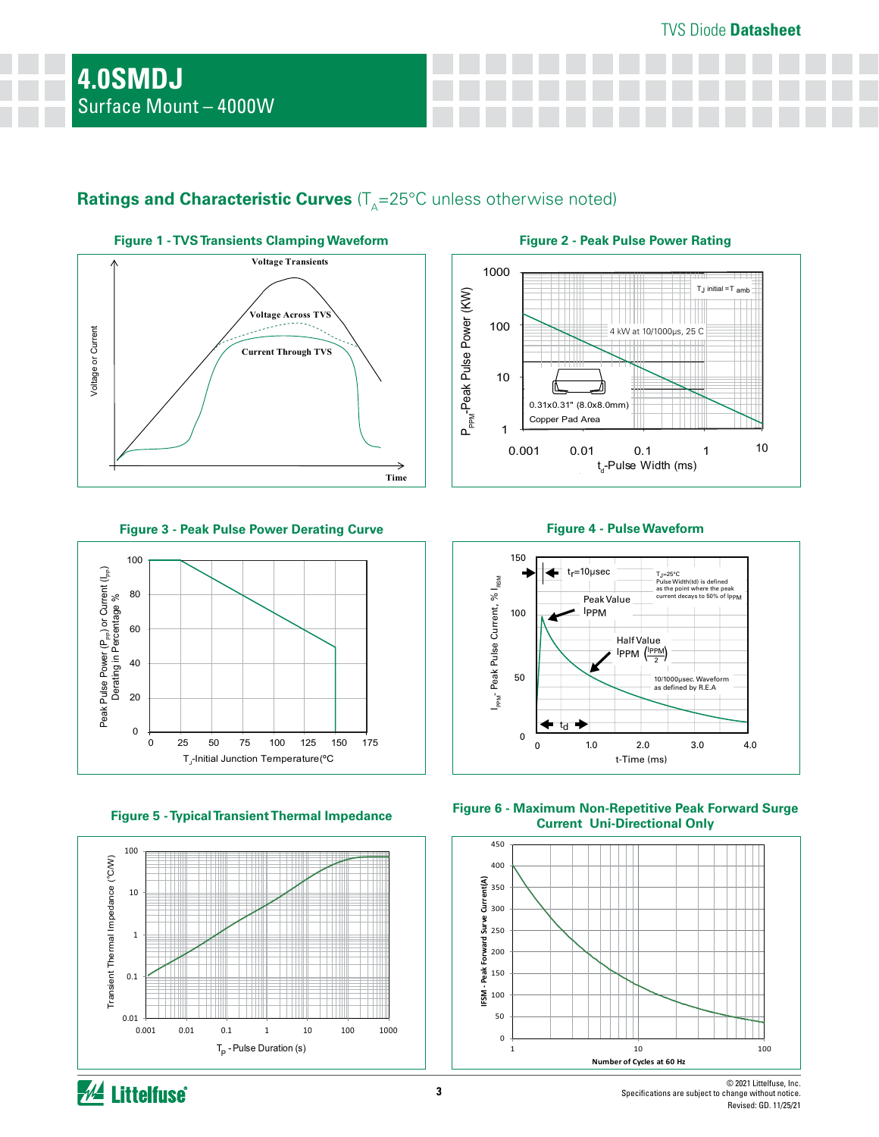# **Ratings and Characteristic Curves** (T<sub>A</sub>=25°C unless otherwise noted)



**Figure 3 - Peak Pulse Power Derating Curve Figure 4 - Pulse Waveform**





**Figure 2 - Peak Pulse Power Rating**





**Figure 5 - Typical Transient Thermal Impedance Figure 6 - Maximum Non-Repetitive Peak Forward Surge Current Uni-Directional Only**

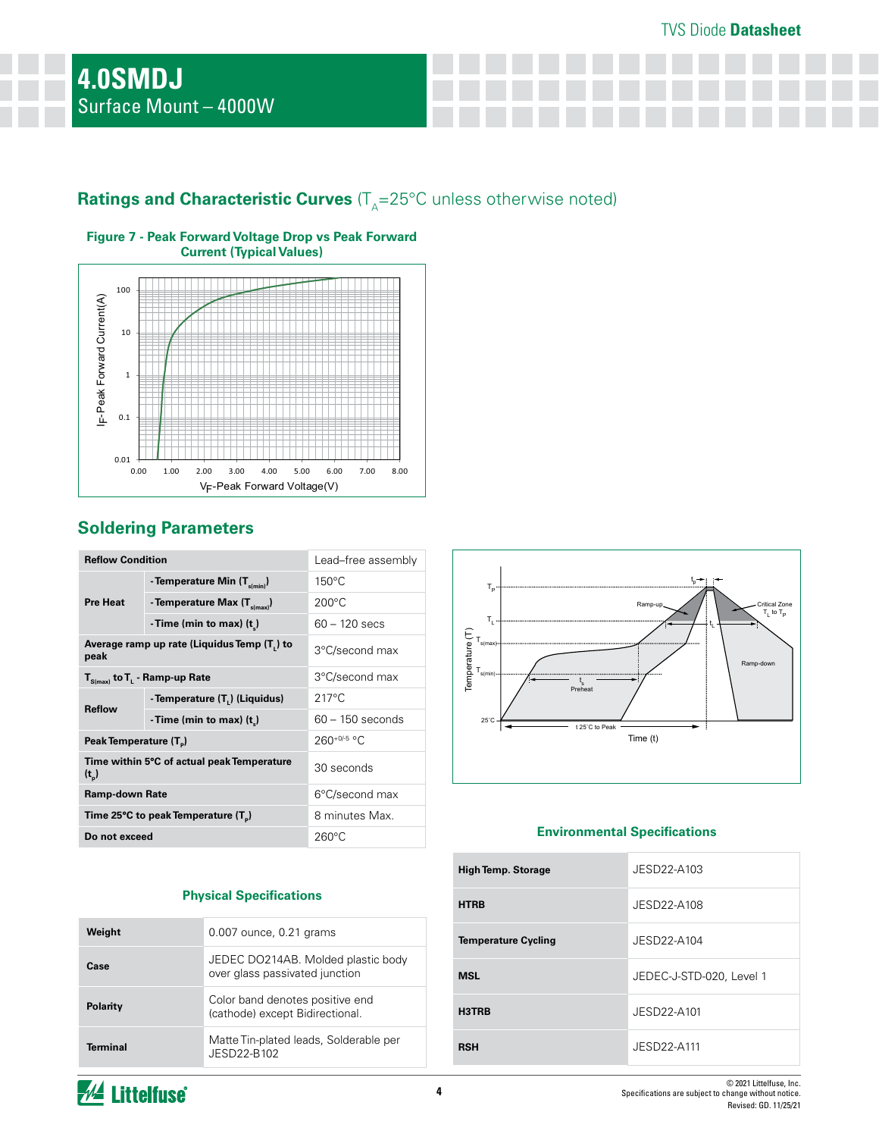# **Ratings and Characteristic Curves** (T<sub>A</sub>=25°C unless otherwise noted)



### **Figure 7 - Peak Forward Voltage Drop vs Peak Forward Current (Typical Values)**

# **Soldering Parameters**

| <b>Reflow Condition</b>            |                                                 | Lead-free assembly |  |
|------------------------------------|-------------------------------------------------|--------------------|--|
|                                    | - Temperature Min (T <sub>s(min)</sub> )        | $150^{\circ}$ C    |  |
| <b>Pre Heat</b>                    | - Temperature Max $(T_{\text{sum}})$            | $200^{\circ}$ C    |  |
|                                    | - Time (min to max) $(t_*)$                     | $60 - 120$ secs    |  |
| peak                               | Average ramp up rate (Liquidus Temp (T,) to     | 3°C/second max     |  |
|                                    | $T_{S(max)}$ to $T_{L}$ - Ramp-up Rate          | 3°C/second max     |  |
| <b>Reflow</b>                      | - Temperature (T <sub>1</sub> ) (Liquidus)      | $217^{\circ}$ C    |  |
|                                    | - Time (min to max) $(t_*)$                     | $60 - 150$ seconds |  |
| Peak Temperature (T <sub>a</sub> ) |                                                 | $260^{+0/5}$ °C    |  |
| $(t_{\rm b})$                      | Time within 5°C of actual peak Temperature      | 30 seconds         |  |
| <b>Ramp-down Rate</b>              |                                                 | 6°C/second max     |  |
|                                    | Time 25°C to peak Temperature (T <sub>a</sub> ) | 8 minutes Max.     |  |
| Do not exceed                      |                                                 | $260^{\circ}$ C    |  |

## **Physical Specifications**

| Weight          | 0.007 ounce, 0.21 grams                                              |
|-----------------|----------------------------------------------------------------------|
| Case            | JEDEC DO214AB. Molded plastic body<br>over glass passivated junction |
| <b>Polarity</b> | Color band denotes positive end<br>(cathode) except Bidirectional.   |
| <b>Terminal</b> | Matte Tin-plated leads, Solderable per<br>JFSD22-B102                |



## **Environmental Specifications**

| <b>High Temp. Storage</b>  | JESD22-A103              |
|----------------------------|--------------------------|
| <b>HTRB</b>                | JESD22-A108              |
| <b>Temperature Cycling</b> | JESD22-A104              |
| <b>MSL</b>                 | JEDEC-J-STD-020, Level 1 |
| H3TRB                      | JESD22-A101              |
| <b>RSH</b>                 | JESD22-A111              |

*M* Littelfuse®